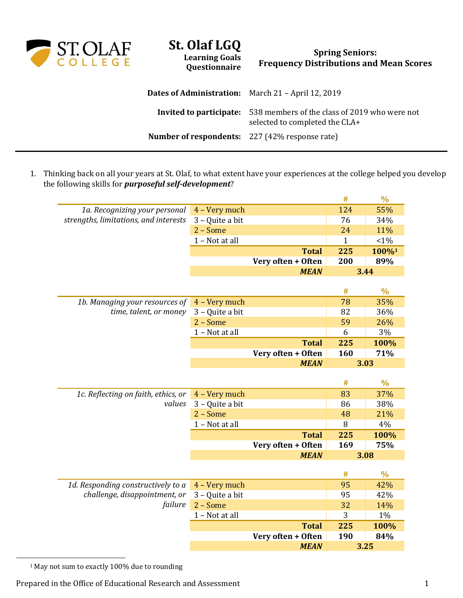

## **St. Olaf LGQ Learning Goals**

**Questionnaire**

## **Spring Seniors: Frequency Distributions and Mean Scores**

| <b>Dates of Administration:</b> March 21 – April 12, 2019 |                                                                                                                |
|-----------------------------------------------------------|----------------------------------------------------------------------------------------------------------------|
|                                                           | <b>Invited to participate:</b> 538 members of the class of 2019 who were not<br>selected to completed the CLA+ |
| <b>Number of respondents:</b> 227 (42% response rate)     |                                                                                                                |

1. Thinking back on all your years at St. Olaf, to what extent have your experiences at the college helped you develop the following skills for *purposeful self-development*?

|                                       |                 |                                   | $\#$ | $\frac{0}{0}$ |
|---------------------------------------|-----------------|-----------------------------------|------|---------------|
| 1a. Recognizing your personal         | 4 - Very much   |                                   | 124  | 55%           |
| strengths, limitations, and interests | 3 - Quite a bit |                                   | 76   | 34%           |
|                                       | 2 - Some        |                                   | 24   | 11%           |
|                                       | 1 - Not at all  |                                   | 1    | $< 1\%$       |
|                                       |                 | <b>Total</b>                      | 225  | 100%1         |
|                                       |                 | Very often + Often                | 200  | 89%           |
|                                       |                 | <b>MEAN</b>                       |      | 3.44          |
|                                       |                 |                                   |      |               |
|                                       |                 |                                   | #    | $\frac{0}{0}$ |
| 1b. Managing your resources of        | 4 - Very much   |                                   | 78   | 35%           |
| time, talent, or money                | 3 - Quite a bit |                                   | 82   | 36%           |
|                                       | $2 - Some$      |                                   | 59   | 26%           |
|                                       | 1 - Not at all  |                                   | 6    | 3%            |
|                                       |                 | <b>Total</b>                      | 225  | 100%          |
|                                       |                 | Very often + Often                | 160  | 71%           |
|                                       |                 | <b>MEAN</b>                       |      | 3.03          |
|                                       |                 |                                   |      |               |
|                                       |                 |                                   | #    | $\frac{0}{0}$ |
| 1c. Reflecting on faith, ethics, or   | 4 - Very much   |                                   | 83   | 37%           |
| values                                | 3 - Quite a bit |                                   | 86   | 38%           |
|                                       | $2 - Some$      |                                   | 48   | 21%           |
|                                       | 1 - Not at all  |                                   | 8    | 4%            |
|                                       |                 | <b>Total</b>                      | 225  | 100%          |
|                                       |                 | Very often + Often                | 169  | 75%           |
|                                       |                 | <b>MEAN</b>                       |      | 3.08          |
|                                       |                 |                                   |      |               |
|                                       |                 |                                   | #    | $\frac{0}{0}$ |
| 1d. Responding constructively to a    | 4 - Very much   |                                   | 95   | 42%           |
| challenge, disappointment, or         | 3 - Quite a bit |                                   | 95   | 42%           |
|                                       |                 |                                   |      |               |
| failure                               | $2 - Some$      |                                   | 32   | 14%           |
|                                       | 1 - Not at all  |                                   | 3    | 1%            |
|                                       |                 | <b>Total</b>                      | 225  | 100%          |
|                                       |                 | Very often + Often<br><b>MEAN</b> | 190  | 84%<br>3.25   |

<sup>1</sup> May not sum to exactly 100% due to rounding

 $\overline{a}$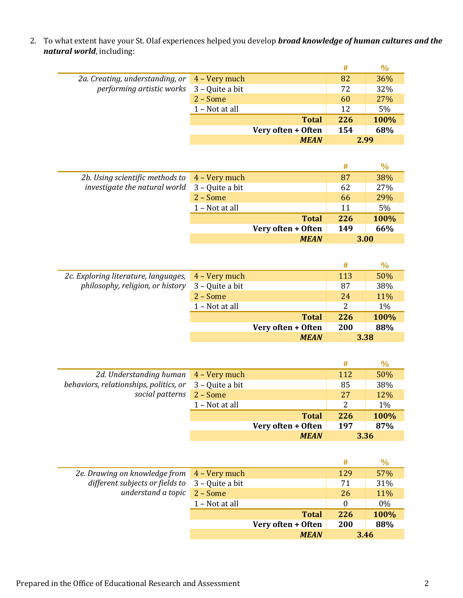2. To what extent have your St. Olaf experiences helped you develop *broad knowledge of human cultures and the natural world*, including:

|                                                                |                |                    | #    | $\%$ |
|----------------------------------------------------------------|----------------|--------------------|------|------|
| 2a. Creating, understanding, or $\boxed{4 - \text{Very much}}$ |                |                    | 82   | 36%  |
| performing artistic works 3 - Quite a bit                      |                |                    | 72   | 32%  |
|                                                                | $2 - Some$     |                    | 60   | 27%  |
|                                                                | 1 - Not at all |                    | 12   | 5%   |
|                                                                |                | <b>Total</b>       | 226  | 100% |
|                                                                |                | Very often + Often | 154  | 68%  |
|                                                                |                | <b>MEAN</b>        | 2.99 |      |
|                                                                |                |                    |      |      |

|                                                                   |                |                    | #   | $\%$ |
|-------------------------------------------------------------------|----------------|--------------------|-----|------|
| 2b. Using scientific methods to $\overline{4 - \text{Very much}}$ |                |                    | 87  | 38%  |
| investigate the natural world $3 -$ Quite a bit                   |                |                    | 62  | 27%  |
|                                                                   | $2 - Some$     |                    | 66  | 29%  |
|                                                                   | 1 - Not at all |                    | 11  | 5%   |
|                                                                   |                | <b>Total</b>       | 226 | 100% |
|                                                                   |                | Very often + Often | 149 | 66%  |
|                                                                   |                | <b>MEAN</b>        |     | 3.00 |

|                                      |                 |                    | #   | $\%$  |
|--------------------------------------|-----------------|--------------------|-----|-------|
| 2c. Exploring literature, languages, | 4 – Very much   |                    | 113 | 50%   |
| philosophy, religion, or history     | 3 - Quite a bit |                    | 87  | 38%   |
|                                      | $2 - Some$      |                    | 24  | 11%   |
|                                      | 1 – Not at all  |                    | 2   | $1\%$ |
|                                      |                 | <b>Total</b>       | 226 | 100%  |
|                                      |                 | Very often + Often | 200 | 88%   |
|                                      |                 | <b>MEAN</b>        |     | 3.38  |

|                                        |                 |                    | #    | $\%$  |
|----------------------------------------|-----------------|--------------------|------|-------|
| 2d. Understanding human 4 - Very much  |                 |                    | 112  | 50%   |
| behaviors, relationships, politics, or | 3 – Quite a bit |                    | 85   | 38%   |
| social patterns                        | $2 - Some$      |                    | 27   | 12%   |
|                                        | 1 - Not at all  |                    | 2    | $1\%$ |
|                                        |                 | <b>Total</b>       | 226  | 100%  |
|                                        |                 | Very often + Often | 197  | 87%   |
|                                        |                 | <b>MEAN</b>        | 3.36 |       |

|                                                                                    |                |                    | #        | $\%$  |
|------------------------------------------------------------------------------------|----------------|--------------------|----------|-------|
| 2e. Drawing on knowledge from 4 - Very much                                        |                |                    | 129      | 57%   |
| different subjects or fields to $3 -$ Quite a bit<br>understand a topic $2 - Some$ |                |                    | 71       | 31%   |
|                                                                                    |                |                    | 26       | 11%   |
|                                                                                    | 1 - Not at all |                    | $\Omega$ | $0\%$ |
|                                                                                    |                | <b>Total</b>       | 226      | 100%  |
|                                                                                    |                | Very often + Often | 200      | 88%   |
|                                                                                    |                | <b>MEAN</b>        |          | 3.46  |

Ē,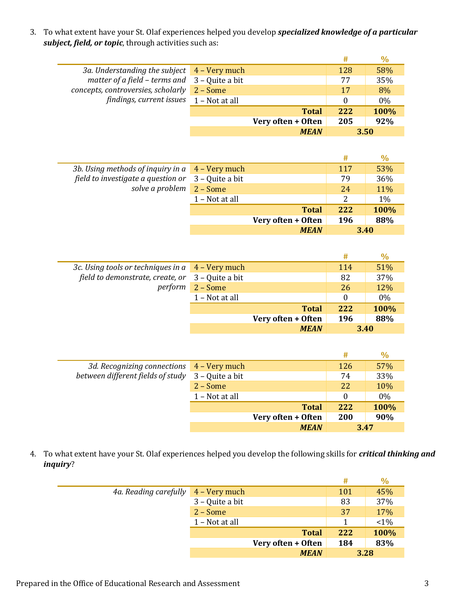3. To what extent have your St. Olaf experiences helped you develop *specialized knowledge of a particular subject, field, or topic*, through activities such as:

|                                                          |            |                    | #   | $\frac{0}{0}$ |
|----------------------------------------------------------|------------|--------------------|-----|---------------|
| 3a. Understanding the subject $\overline{4}$ – Very much |            |                    | 128 | 58%           |
| matter of a field – terms and $3$ – Quite a bit          |            |                    | 77  | 35%           |
| concepts, controversies, scholarly                       | $2 - Some$ |                    | 17  | 8%            |
| findings, current issues $1 - Not$ at all                |            |                    |     | $0\%$         |
|                                                          |            | <b>Total</b>       | 222 | 100%          |
|                                                          |            | Very often + Often | 205 | 92%           |
|                                                          |            | <b>MEAN</b>        |     | 3.50          |

|                                                        |                 |                    | #   | $\%$  |
|--------------------------------------------------------|-----------------|--------------------|-----|-------|
| 3b. Using methods of inquiry in $a \mid 4$ – Very much |                 |                    | 117 | 53%   |
| field to investigate a question or                     | 3 – Quite a bit |                    | 79  | 36%   |
| solve a problem                                        | $2 - Some$      |                    | 24  | 11%   |
|                                                        | 1 - Not at all  |                    | 2   | $1\%$ |
|                                                        |                 | <b>Total</b>       | 222 | 100%  |
|                                                        |                 | Very often + Often | 196 | 88%   |
|                                                        |                 | <b>MEAN</b>        |     | 3.40  |

|                                                                                                               |                |                    | #        | $\%$  |
|---------------------------------------------------------------------------------------------------------------|----------------|--------------------|----------|-------|
| 3c. Using tools or techniques in $a \mid 4$ – Very much<br>field to demonstrate, create, or $3 -$ Quite a bit |                |                    | 114      | 51%   |
|                                                                                                               |                |                    | 82       | 37%   |
| perform                                                                                                       | $2 - Some$     |                    | 26       | 12%   |
|                                                                                                               | 1 - Not at all |                    | $\theta$ | $0\%$ |
|                                                                                                               |                | <b>Total</b>       | 222      | 100%  |
|                                                                                                               |                | Very often + Often | 196      | 88%   |
|                                                                                                               |                | <b>MEAN</b>        |          | 3.40  |

|                                           |                 |                    | #        | $\%$ |
|-------------------------------------------|-----------------|--------------------|----------|------|
| 3d. Recognizing connections 4 - Very much |                 |                    | 126      | 57%  |
| between different fields of study         | 3 - Quite a bit |                    | 74       | 33%  |
|                                           | $2 - Some$      |                    | 22       | 10%  |
|                                           | 1 – Not at all  |                    | $\Omega$ | 0%   |
|                                           |                 | <b>Total</b>       | 222      | 100% |
|                                           |                 | Very often + Often | 200      | 90%  |
|                                           |                 | <b>MEAN</b>        |          | 3.47 |

4. To what extent have your St. Olaf experiences helped you develop the following skills for *critical thinking and inquiry*?

|                       |                 |                    | #   | $\%$    |
|-----------------------|-----------------|--------------------|-----|---------|
| 4a. Reading carefully | 4 – Very much   |                    | 101 | 45%     |
|                       | 3 - Quite a bit |                    | 83  | 37%     |
|                       | $2 - Some$      |                    | 37  | 17%     |
|                       | 1 - Not at all  |                    |     | $< 1\%$ |
|                       |                 | <b>Total</b>       | 222 | 100%    |
|                       |                 | Very often + Often | 184 | 83%     |
|                       |                 | <b>MEAN</b>        |     | 3.28    |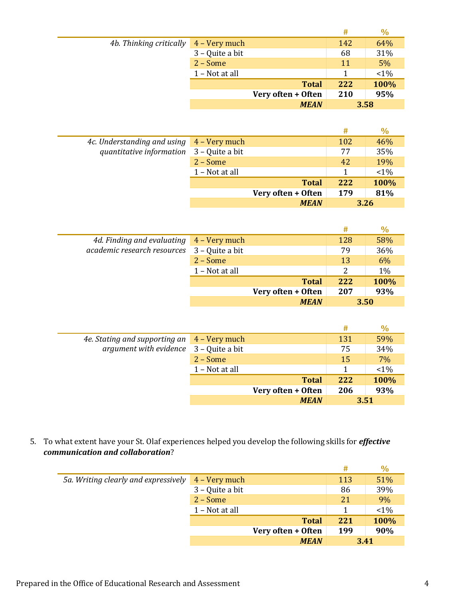|                                                |                 |                    | #   | $\frac{0}{0}$ |
|------------------------------------------------|-----------------|--------------------|-----|---------------|
| 4b. Thinking critically $4 - \text{Very much}$ |                 |                    | 142 | 64%           |
|                                                | 3 – Quite a bit |                    | 68  | 31%           |
|                                                | $2 - Some$      |                    | 11  | 5%            |
|                                                | 1 - Not at all  |                    |     | $< 1\%$       |
|                                                |                 | <b>Total</b>       | 222 | 100%          |
|                                                |                 | Very often + Often | 210 | 95%           |
|                                                |                 | <b>MEAN</b>        |     | 3.58          |

|                             |                 |                    | #   | $\%$    |
|-----------------------------|-----------------|--------------------|-----|---------|
| 4c. Understanding and using | 4 – Very much   |                    | 102 | 46%     |
| quantitative information    | 3 – Quite a bit |                    | 77  | 35%     |
|                             | $2 - Some$      |                    | 42  | 19%     |
|                             | 1 - Not at all  |                    |     | $< 1\%$ |
|                             |                 | <b>Total</b>       | 222 | 100%    |
|                             |                 | Very often + Often | 179 | 81%     |
|                             |                 | <b>MEAN</b>        |     | 3.26    |

|                                             |                |                    | #    | $\%$ |
|---------------------------------------------|----------------|--------------------|------|------|
| 4d. Finding and evaluating 4 - Very much    |                |                    | 128  | 58%  |
| academic research resources 3 - Quite a bit |                |                    | 79   | 36%  |
|                                             | $2 - Some$     |                    | 13   | 6%   |
|                                             | 1 - Not at all |                    | 2    | 1%   |
|                                             |                | <b>Total</b>       | 222  | 100% |
|                                             |                | Very often + Often | 207  | 93%  |
|                                             |                | <b>MEAN</b>        | 3.50 |      |

|                                             |                |                    | #    | $\frac{0}{0}$ |
|---------------------------------------------|----------------|--------------------|------|---------------|
| 4e. Stating and supporting an 4 - Very much |                |                    | 131  | 59%           |
| argument with evidence $3 -$ Quite a bit    |                |                    | 75   | 34%           |
|                                             | $2 - Some$     |                    | 15   | 7%            |
|                                             | 1 - Not at all |                    |      | $< 1\%$       |
|                                             |                | <b>Total</b>       | 222  | 100%          |
|                                             |                | Very often + Often | 206  | 93%           |
|                                             |                | <b>MEAN</b>        | 3.51 |               |

5. To what extent have your St. Olaf experiences helped you develop the following skills for *effective communication and collaboration*?

|                                      |                 |                    | #    | $\%$   |
|--------------------------------------|-----------------|--------------------|------|--------|
| 5a. Writing clearly and expressively | 4 – Very much   |                    | 113  | 51%    |
|                                      | 3 – Quite a bit |                    | 86   | 39%    |
|                                      | $2 - Some$      |                    | 21   | 9%     |
|                                      | 1 - Not at all  |                    |      | $<1\%$ |
|                                      |                 | <b>Total</b>       | 221  | 100%   |
|                                      |                 | Very often + Often | 199  | 90%    |
|                                      |                 | <b>MEAN</b>        | 3.41 |        |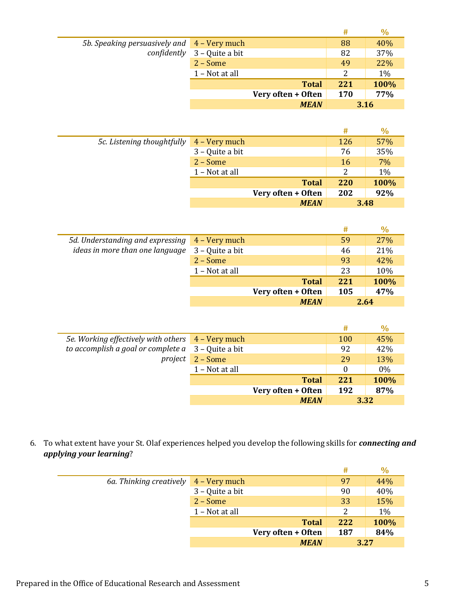|                                             |                                      |                    | #          | $\%$  |
|---------------------------------------------|--------------------------------------|--------------------|------------|-------|
| 5b. Speaking persuasively and 4 – Very much |                                      |                    | 88         | 40%   |
|                                             | <i>confidently</i> $3 -$ Quite a bit |                    | 82         | 37%   |
|                                             | $2 - Some$                           |                    | 49         | 22%   |
|                                             | 1 - Not at all                       |                    | 2          | $1\%$ |
|                                             |                                      | <b>Total</b>       | 221        | 100%  |
|                                             |                                      | Very often + Often | <b>170</b> | 77%   |
|                                             |                                      | <b>MEAN</b>        |            | 3.16  |

|                            |                 |                    | #         | $\%$ |
|----------------------------|-----------------|--------------------|-----------|------|
| 5c. Listening thoughtfully | 4 – Very much   |                    | 126       | 57%  |
|                            | 3 - Quite a bit |                    | 76        | 35%  |
|                            | $2 - Some$      |                    | <b>16</b> | 7%   |
|                            | 1 - Not at all  |                    | 2         | 1%   |
|                            |                 | <b>Total</b>       | 220       | 100% |
|                            |                 | Very often + Often | 202       | 92%  |
|                            |                 | <b>MEAN</b>        |           | 3.48 |

|                                                         |                 |                    | #   | $\frac{0}{0}$ |
|---------------------------------------------------------|-----------------|--------------------|-----|---------------|
| 5d. Understanding and expressing $4 - \text{Very much}$ |                 |                    | 59  | 27%           |
| ideas in more than one language                         | 3 – Quite a bit |                    | 46  | 21%           |
|                                                         | $2 - Some$      |                    | 93  | 42%           |
|                                                         | 1 - Not at all  |                    | 23  | 10%           |
|                                                         |                 | <b>Total</b>       | 221 | 100%          |
|                                                         |                 | Very often + Often | 105 | 47%           |
|                                                         |                 | <b>MEAN</b>        |     | 2.64          |

|                                                            |                |                    | #    | $\%$ |
|------------------------------------------------------------|----------------|--------------------|------|------|
| 5e. Working effectively with others 4 - Very much          |                |                    | 100  | 45%  |
| to accomplish a goal or complete $a \quad 3$ – Quite a bit |                |                    | 92   | 42%  |
| project                                                    | $2 - Some$     |                    | 29   | 13%  |
|                                                            | 1 - Not at all |                    | 0    | 0%   |
|                                                            |                | <b>Total</b>       | 221  | 100% |
|                                                            |                | Very often + Often | 192  | 87%  |
|                                                            |                | <b>MEAN</b>        | 3.32 |      |

6. To what extent have your St. Olaf experiences helped you develop the following skills for *connecting and applying your learning*?

|                         |                 |                    | #    | $\%$  |
|-------------------------|-----------------|--------------------|------|-------|
| 6a. Thinking creatively | 4 – Very much   |                    | 97   | 44%   |
|                         | 3 – Quite a bit |                    | 90   | 40%   |
|                         | $2 - Some$      |                    | 33   | 15%   |
|                         | 1 - Not at all  |                    | 2    | $1\%$ |
|                         |                 | <b>Total</b>       | 222  | 100%  |
|                         |                 | Very often + Often | 187  | 84%   |
|                         |                 | <b>MEAN</b>        | 3.27 |       |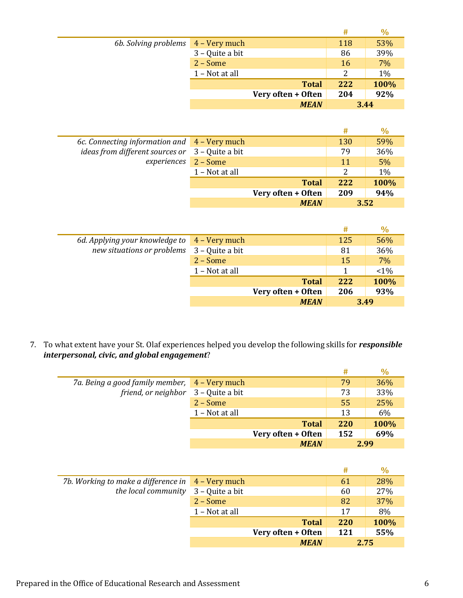|                      |                 |                    | #   | $\frac{0}{0}$ |
|----------------------|-----------------|--------------------|-----|---------------|
| 6b. Solving problems | $4 - Very much$ |                    | 118 | 53%           |
|                      | 3 - Quite a bit |                    | 86  | 39%           |
|                      | $2 - Some$      |                    | 16  | 7%            |
|                      | 1 - Not at all  |                    | 2   | 1%            |
|                      |                 | <b>Total</b>       | 222 | 100%          |
|                      |                 | Very often + Often | 204 | 92%           |
|                      |                 | <b>MEAN</b>        |     | 3.44          |

|                                                                                              |                 |                    | #   | $\%$  |
|----------------------------------------------------------------------------------------------|-----------------|--------------------|-----|-------|
| 6c. Connecting information and $\overline{4}$ – Very much<br>ideas from different sources or |                 |                    | 130 | 59%   |
|                                                                                              | 3 – Quite a bit |                    | 79  | 36%   |
| experiences                                                                                  | $2 - Some$      |                    | 11  | 5%    |
|                                                                                              | 1 - Not at all  |                    | 2   | $1\%$ |
|                                                                                              |                 | <b>Total</b>       | 222 | 100%  |
|                                                                                              |                 | Very often + Often | 209 | 94%   |
|                                                                                              |                 | <b>MEAN</b>        |     | 3.52  |

|                                                           |                 |                    | #    | $\%$  |
|-----------------------------------------------------------|-----------------|--------------------|------|-------|
| 6d. Applying your knowledge to $\overline{4}$ – Very much |                 |                    | 125  | 56%   |
| new situations or problems                                | 3 – Quite a bit |                    | 81   | 36%   |
|                                                           | $2 - Some$      |                    | 15   | 7%    |
|                                                           | 1 - Not at all  |                    |      | $1\%$ |
|                                                           |                 | <b>Total</b>       | 222  | 100%  |
|                                                           |                 | Very often + Often | 206  | 93%   |
|                                                           |                 | <b>MEAN</b>        | 3.49 |       |

7. To what extent have your St. Olaf experiences helped you develop the following skills for *responsible interpersonal, civic, and global engagement*?

|                                               |                |                    | #          | $\frac{0}{0}$ |
|-----------------------------------------------|----------------|--------------------|------------|---------------|
| 7a. Being a good family member, 4 - Very much |                |                    | 79         | 36%           |
| friend, or neighbor 3 - Quite a bit           |                |                    | 73         | 33%           |
|                                               | $2 - Some$     |                    | 55         | 25%           |
|                                               | 1 - Not at all |                    | 13         | 6%            |
|                                               |                | <b>Total</b>       | <b>220</b> | 100%          |
|                                               |                | Very often + Often | 152        | 69%           |
|                                               |                | <b>MEAN</b>        | 2.99       |               |

|                                                                      |                |                    | #          |      |
|----------------------------------------------------------------------|----------------|--------------------|------------|------|
| 7b. Working to make a difference in $\frac{4 - \text{Very much}}{2}$ |                |                    | 61         | 28%  |
| the local community $3 -$ Quite a bit                                |                |                    | 60         | 27%  |
|                                                                      | $2 - Some$     |                    | 82         | 37%  |
|                                                                      | 1 - Not at all |                    | 17         | 8%   |
|                                                                      |                | <b>Total</b>       | <b>220</b> | 100% |
|                                                                      |                | Very often + Often | 121        | 55%  |
|                                                                      |                | <b>MEAN</b>        | 2.75       |      |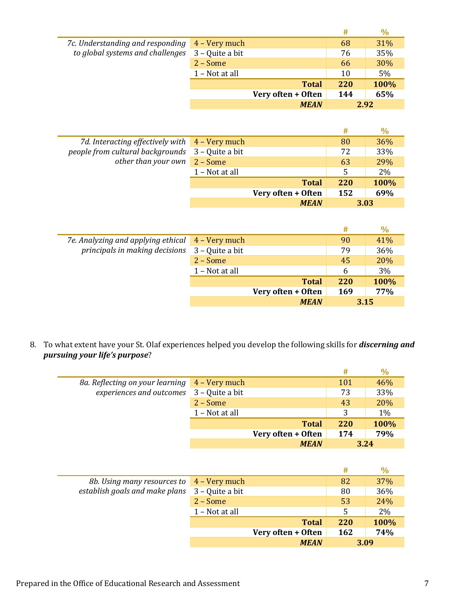|                                                                                    |                 |                    | #   | $\%$ |
|------------------------------------------------------------------------------------|-----------------|--------------------|-----|------|
| 7c. Understanding and responding 4 - Very much<br>to global systems and challenges |                 |                    | 68  | 31%  |
|                                                                                    | 3 - Quite a bit |                    | 76  | 35%  |
|                                                                                    | $2 - Some$      |                    | 66  | 30%  |
|                                                                                    | 1 – Not at all  |                    | 10  | 5%   |
|                                                                                    |                 | <b>Total</b>       | 220 | 100% |
|                                                                                    |                 | Very often + Often | 144 | 65%  |
|                                                                                    |                 | <b>MEAN</b>        |     | 2.92 |

|                                                                                                        |                 |                    | #    | $\%$  |
|--------------------------------------------------------------------------------------------------------|-----------------|--------------------|------|-------|
| 7d. Interacting effectively with $\overline{4 - \text{Very much}}$<br>people from cultural backgrounds |                 |                    | 80   | 36%   |
|                                                                                                        | 3 – Quite a bit |                    | 72   | 33%   |
| other than your own $\boxed{2 - Some}$                                                                 |                 |                    | 63   | 29%   |
|                                                                                                        | 1 - Not at all  |                    | 5    | $2\%$ |
|                                                                                                        |                 | <b>Total</b>       | 220  | 100%  |
|                                                                                                        |                 | Very often + Often | 152  | 69%   |
|                                                                                                        |                 | <b>MEAN</b>        | 3.03 |       |

|                                                  |                 |                    | #          | $\%$ |
|--------------------------------------------------|-----------------|--------------------|------------|------|
| 7e. Analyzing and applying ethical 4 – Very much |                 |                    | 90         | 41%  |
| principals in making decisions                   | 3 – Quite a bit |                    | 79         | 36%  |
|                                                  | $2 - Some$      |                    | 45         | 20%  |
|                                                  | 1 - Not at all  |                    | 6          | 3%   |
|                                                  |                 | <b>Total</b>       | <b>220</b> | 100% |
|                                                  |                 | Very often + Often | 169        | 77%  |
|                                                  |                 | <b>MEAN</b>        | 3.15       |      |

8. To what extent have your St. Olaf experiences helped you develop the following skills for *discerning and pursuing your life's purpose*?

|                                               |                |                    | #          | $\%$  |
|-----------------------------------------------|----------------|--------------------|------------|-------|
| 8a. Reflecting on your learning 4 - Very much |                |                    | 101        | 46%   |
| experiences and outcomes 3 - Quite a bit      |                |                    | 73         | 33%   |
|                                               | $2 - Some$     |                    | 43         | 20%   |
|                                               | 1 - Not at all |                    | 3          | $1\%$ |
|                                               |                | <b>Total</b>       | <b>220</b> | 100%  |
|                                               |                | Very often + Often | 174        | 79%   |
|                                               |                | <b>MEAN</b>        |            | 3.24  |

|                                           |                 |                    | #          | $\%$ |
|-------------------------------------------|-----------------|--------------------|------------|------|
| 8b. Using many resources to 4 – Very much |                 |                    | 82         | 37%  |
| establish goals and make plans            | 3 – Quite a bit |                    | 80         | 36%  |
|                                           | $2 - Some$      |                    | 53         | 24%  |
|                                           | 1 - Not at all  |                    | 5          | 2%   |
|                                           |                 | <b>Total</b>       | <b>220</b> | 100% |
|                                           |                 | Very often + Often | 162        | 74%  |
|                                           |                 | <b>MEAN</b>        |            | 3.09 |